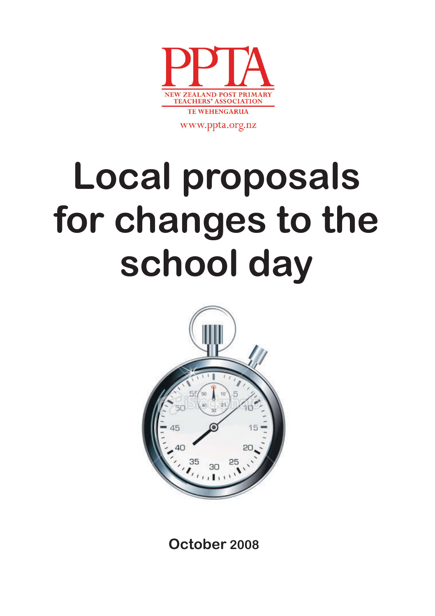

www.ppta.org.nz

# **Local proposals for changes to the school day**



**October 2008**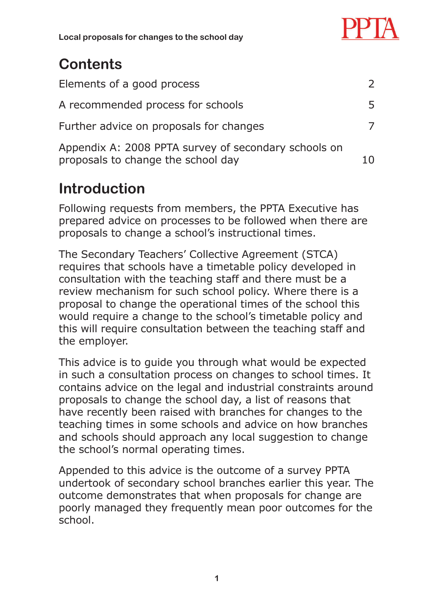

**Local proposals for changes to the school day**

# **Contents**

| Elements of a good process                                                                 | $\mathcal{P}$ |
|--------------------------------------------------------------------------------------------|---------------|
| A recommended process for schools                                                          | 5             |
| Further advice on proposals for changes                                                    |               |
| Appendix A: 2008 PPTA survey of secondary schools on<br>proposals to change the school day | 10            |

# **Introduction**

Following requests from members, the PPTA Executive has prepared advice on processes to be followed when there are proposals to change a school's instructional times.

The Secondary Teachers' Collective Agreement (STCA) requires that schools have a timetable policy developed in consultation with the teaching staff and there must be a review mechanism for such school policy. Where there is a proposal to change the operational times of the school this would require a change to the school's timetable policy and this will require consultation between the teaching staff and the employer.

This advice is to guide you through what would be expected in such a consultation process on changes to school times. It contains advice on the legal and industrial constraints around proposals to change the school day, a list of reasons that have recently been raised with branches for changes to the teaching times in some schools and advice on how branches and schools should approach any local suggestion to change the school's normal operating times.

Appended to this advice is the outcome of a survey PPTA undertook of secondary school branches earlier this year. The outcome demonstrates that when proposals for change are poorly managed they frequently mean poor outcomes for the school.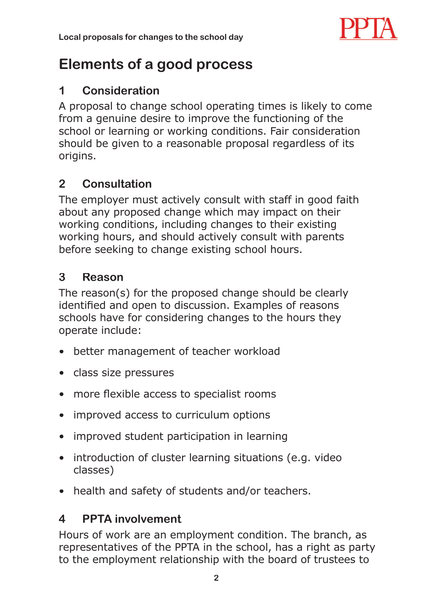

## **Elements of a good process**

#### **1 Consideration**

A proposal to change school operating times is likely to come from a genuine desire to improve the functioning of the school or learning or working conditions. Fair consideration should be given to a reasonable proposal regardless of its origins.

## **2 Consultation**

The employer must actively consult with staff in good faith about any proposed change which may impact on their working conditions, including changes to their existing working hours, and should actively consult with parents before seeking to change existing school hours.

#### **3 Reason**

The reason(s) for the proposed change should be clearly identified and open to discussion. Examples of reasons schools have for considering changes to the hours they operate include:

- better management of teacher workload
- class size pressures
- more flexible access to specialist rooms
- improved access to curriculum options
- improved student participation in learning
- introduction of cluster learning situations (e.g. video classes)
- health and safety of students and/or teachers.

## **4 PPTA involvement**

Hours of work are an employment condition. The branch, as representatives of the PPTA in the school, has a right as party to the employment relationship with the board of trustees to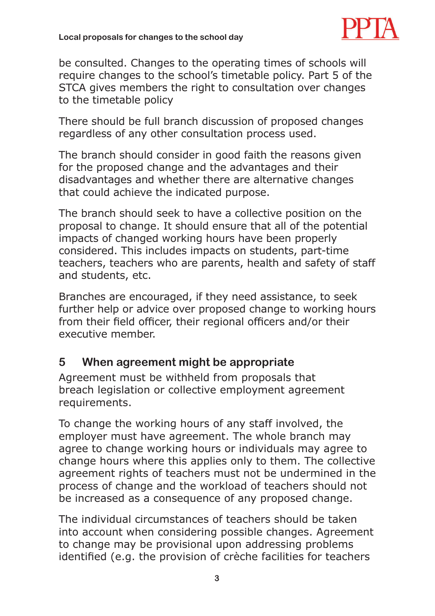

be consulted. Changes to the operating times of schools will require changes to the school's timetable policy. Part 5 of the STCA gives members the right to consultation over changes to the timetable policy

There should be full branch discussion of proposed changes regardless of any other consultation process used.

The branch should consider in good faith the reasons given for the proposed change and the advantages and their disadvantages and whether there are alternative changes that could achieve the indicated purpose.

The branch should seek to have a collective position on the proposal to change. It should ensure that all of the potential impacts of changed working hours have been properly considered. This includes impacts on students, part-time teachers, teachers who are parents, health and safety of staff and students, etc.

Branches are encouraged, if they need assistance, to seek further help or advice over proposed change to working hours from their field officer, their regional officers and/or their executive member.

#### **5 When agreement might be appropriate**

Agreement must be withheld from proposals that breach legislation or collective employment agreement requirements.

To change the working hours of any staff involved, the employer must have agreement. The whole branch may agree to change working hours or individuals may agree to change hours where this applies only to them. The collective agreement rights of teachers must not be undermined in the process of change and the workload of teachers should not be increased as a consequence of any proposed change.

The individual circumstances of teachers should be taken into account when considering possible changes. Agreement to change may be provisional upon addressing problems identified (e.g. the provision of crèche facilities for teachers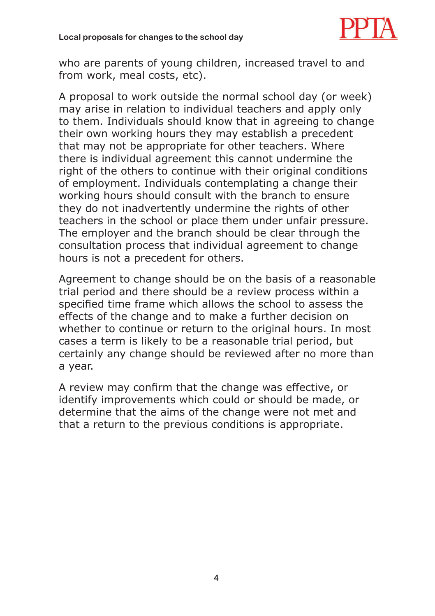

who are parents of young children, increased travel to and from work, meal costs, etc).

A proposal to work outside the normal school day (or week) may arise in relation to individual teachers and apply only to them. Individuals should know that in agreeing to change their own working hours they may establish a precedent that may not be appropriate for other teachers. Where there is individual agreement this cannot undermine the right of the others to continue with their original conditions of employment. Individuals contemplating a change their working hours should consult with the branch to ensure they do not inadvertently undermine the rights of other teachers in the school or place them under unfair pressure. The employer and the branch should be clear through the consultation process that individual agreement to change hours is not a precedent for others.

Agreement to change should be on the basis of a reasonable trial period and there should be a review process within a specified time frame which allows the school to assess the effects of the change and to make a further decision on whether to continue or return to the original hours. In most cases a term is likely to be a reasonable trial period, but certainly any change should be reviewed after no more than a year.

A review may confirm that the change was effective, or identify improvements which could or should be made, or determine that the aims of the change were not met and that a return to the previous conditions is appropriate.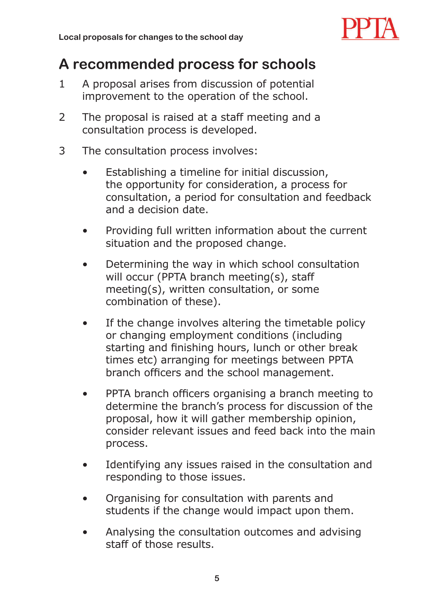

## **A recommended process for schools**

- 1 A proposal arises from discussion of potential improvement to the operation of the school.
- 2 The proposal is raised at a staff meeting and a consultation process is developed.
- 3 The consultation process involves:
	- Establishing a timeline for initial discussion, the opportunity for consideration, a process for consultation, a period for consultation and feedback and a decision date.
	- Providing full written information about the current situation and the proposed change.
	- Determining the way in which school consultation will occur (PPTA branch meeting(s), staff meeting(s), written consultation, or some combination of these).
	- If the change involves altering the timetable policy or changing employment conditions (including starting and finishing hours, lunch or other break times etc) arranging for meetings between PPTA branch officers and the school management.
	- PPTA branch officers organising a branch meeting to determine the branch's process for discussion of the proposal, how it will gather membership opinion, consider relevant issues and feed back into the main process.
	- Identifying any issues raised in the consultation and responding to those issues.
	- Organising for consultation with parents and students if the change would impact upon them.
	- Analysing the consultation outcomes and advising staff of those results.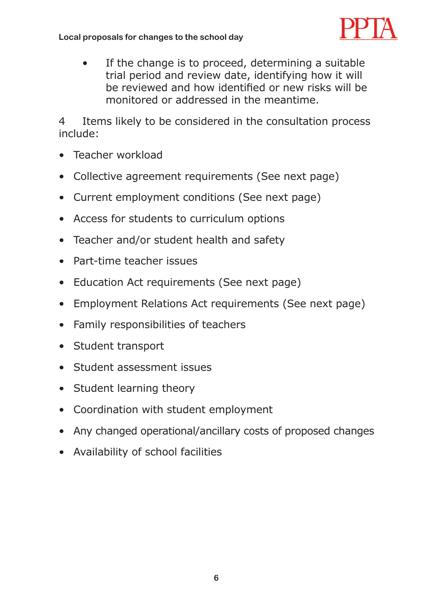

• If the change is to proceed, determining a suitable trial period and review date, identifying how it will be reviewed and how identified or new risks will be monitored or addressed in the meantime.

4 Items likely to be considered in the consultation process include:

- Teacher workload •
- Collective agreement requirements (See next page)
- Current employment conditions (See next page)
- Access for students to curriculum options
- Teacher and/or student health and safety
- Part-time teacher issues
- Education Act requirements (See next page)
- Employment Relations Act requirements (See next page)
- Family responsibilities of teachers
- Student transport
- Student assessment issues
- Student learning theory
- Coordination with student employment •
- Any changed operational/ancillary costs of proposed changes
- Availability of school facilities •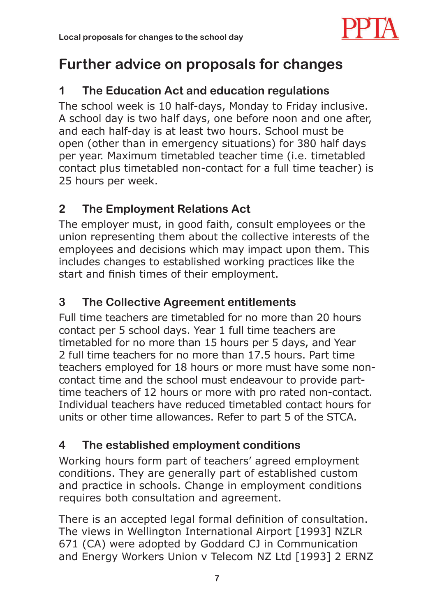

## **Further advice on proposals for changes**

#### **1 The Education Act and education regulations**

The school week is 10 half-days, Monday to Friday inclusive. A school day is two half days, one before noon and one after, and each half-day is at least two hours. School must be open (other than in emergency situations) for 380 half days per year. Maximum timetabled teacher time (i.e. timetabled contact plus timetabled non-contact for a full time teacher) is 25 hours per week.

## **2 The Employment Relations Act**

The employer must, in good faith, consult employees or the union representing them about the collective interests of the employees and decisions which may impact upon them. This includes changes to established working practices like the start and finish times of their employment.

## **3 The Collective Agreement entitlements**

Full time teachers are timetabled for no more than 20 hours contact per 5 school days. Year 1 full time teachers are timetabled for no more than 15 hours per 5 days, and Year 2 full time teachers for no more than 17.5 hours. Part time teachers employed for 18 hours or more must have some noncontact time and the school must endeavour to provide parttime teachers of 12 hours or more with pro rated non-contact. Individual teachers have reduced timetabled contact hours for units or other time allowances. Refer to part 5 of the STCA.

## **4 The established employment conditions**

Working hours form part of teachers' agreed employment conditions. They are generally part of established custom and practice in schools. Change in employment conditions requires both consultation and agreement.

There is an accepted legal formal definition of consultation. The views in Wellington International Airport [1993] NZLR 671 (CA) were adopted by Goddard CJ in Communication and Energy Workers Union v Telecom NZ Ltd [1993] 2 ERNZ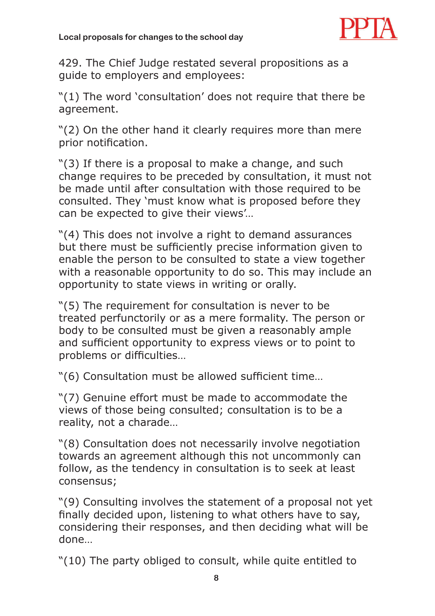

429. The Chief Judge restated several propositions as a guide to employers and employees:

"(1) The word 'consultation' does not require that there be agreement.

"(2) On the other hand it clearly requires more than mere prior notification.

"(3) If there is a proposal to make a change, and such change requires to be preceded by consultation, it must not be made until after consultation with those required to be consulted. They 'must know what is proposed before they can be expected to give their views'…

"(4) This does not involve a right to demand assurances but there must be sufficiently precise information given to enable the person to be consulted to state a view together with a reasonable opportunity to do so. This may include an opportunity to state views in writing or orally.

"(5) The requirement for consultation is never to be treated perfunctorily or as a mere formality. The person or body to be consulted must be given a reasonably ample and sufficient opportunity to express views or to point to problems or difficulties...

"(6) Consultation must be allowed sufficient time...

"(7) Genuine effort must be made to accommodate the views of those being consulted; consultation is to be a reality, not a charade…

"(8) Consultation does not necessarily involve negotiation towards an agreement although this not uncommonly can follow, as the tendency in consultation is to seek at least consensus;

"(9) Consulting involves the statement of a proposal not yet finally decided upon, listening to what others have to say, considering their responses, and then deciding what will be done…

"(10) The party obliged to consult, while quite entitled to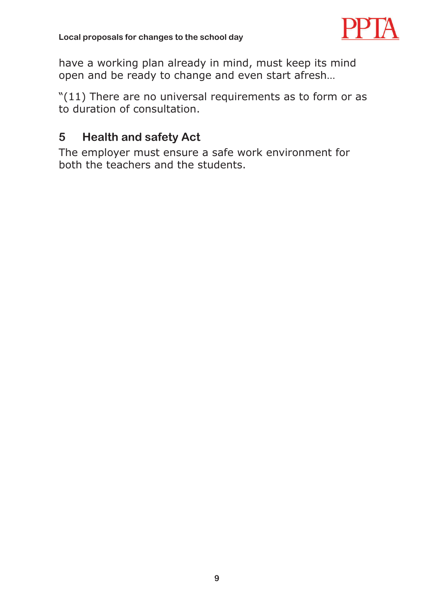

have a working plan already in mind, must keep its mind open and be ready to change and even start afresh…

"(11) There are no universal requirements as to form or as to duration of consultation.

#### **5 Health and safety Act**

The employer must ensure a safe work environment for both the teachers and the students.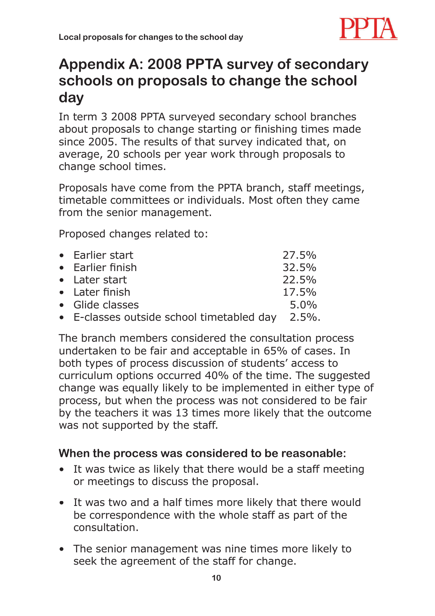

## **Appendix A: 2008 PPTA survey of secondary schools on proposals to change the school day**

In term 3 2008 PPTA surveyed secondary school branches about proposals to change starting or finishing times made since 2005. The results of that survey indicated that, on average, 20 schools per year work through proposals to change school times.

Proposals have come from the PPTA branch, staff meetings, timetable committees or individuals. Most often they came from the senior management.

Proposed changes related to:

| • Earlier start                                 | 27.5%   |
|-------------------------------------------------|---------|
| • Earlier finish                                | 32.5%   |
| • Later start                                   | 22.5%   |
| • Later finish                                  | 17.5%   |
| • Glide classes                                 | $5.0\%$ |
| • E-classes outside school timetabled day 2.5%. |         |

The branch members considered the consultation process undertaken to be fair and acceptable in 65% of cases. In both types of process discussion of students' access to curriculum options occurred 40% of the time. The suggested change was equally likely to be implemented in either type of process, but when the process was not considered to be fair by the teachers it was 13 times more likely that the outcome was not supported by the staff.

#### **When the process was considered to be reasonable:**

- It was twice as likely that there would be a staff meeting or meetings to discuss the proposal.
- It was two and a half times more likely that there would be correspondence with the whole staff as part of the consultation.
- The senior management was nine times more likely to seek the agreement of the staff for change.